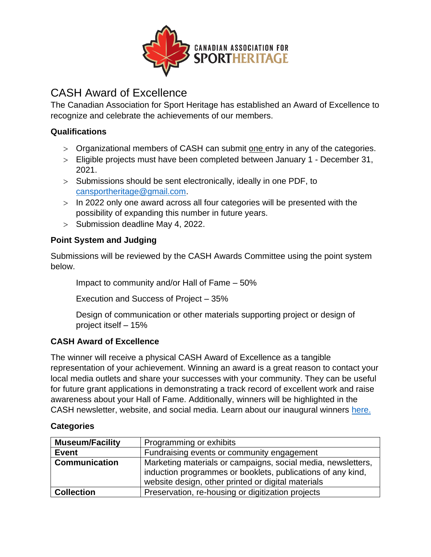

# CASH Award of Excellence

The Canadian Association for Sport Heritage has established an Award of Excellence to recognize and celebrate the achievements of our members.

### **Qualifications**

- > Organizational members of CASH can submit one entry in any of the categories.
- Eligible projects must have been completed between January 1 December 31, 2021.
- $>$  Submissions should be sent electronically, ideally in one PDF, to [cansportheritage@gmail.com.](mailto:cansportheritage@gmail.com)
- $>$  In 2022 only one award across all four categories will be presented with the possibility of expanding this number in future years.
- $>$  Submission deadline May 4, 2022.

### **Point System and Judging**

Submissions will be reviewed by the CASH Awards Committee using the point system below.

Impact to community and/or Hall of Fame – 50%

Execution and Success of Project – 35%

Design of communication or other materials supporting project or design of project itself – 15%

## **CASH Award of Excellence**

The winner will receive a physical CASH Award of Excellence as a tangible representation of your achievement. Winning an award is a great reason to contact your local media outlets and share your successes with your community. They can be useful for future grant applications in demonstrating a track record of excellent work and raise awareness about your Hall of Fame. Additionally, winners will be highlighted in the CASH newsletter, website, and social media. Learn about our inaugural winners [here.](https://www.canadiansportheritage.com/award-of-excellence)

#### **Categories**

| <b>Museum/Facility</b> | Programming or exhibits                                                                                                                                                           |  |
|------------------------|-----------------------------------------------------------------------------------------------------------------------------------------------------------------------------------|--|
| <b>Event</b>           | Fundraising events or community engagement                                                                                                                                        |  |
| <b>Communication</b>   | Marketing materials or campaigns, social media, newsletters,<br>induction programmes or booklets, publications of any kind,<br>website design, other printed or digital materials |  |
| <b>Collection</b>      | Preservation, re-housing or digitization projects                                                                                                                                 |  |